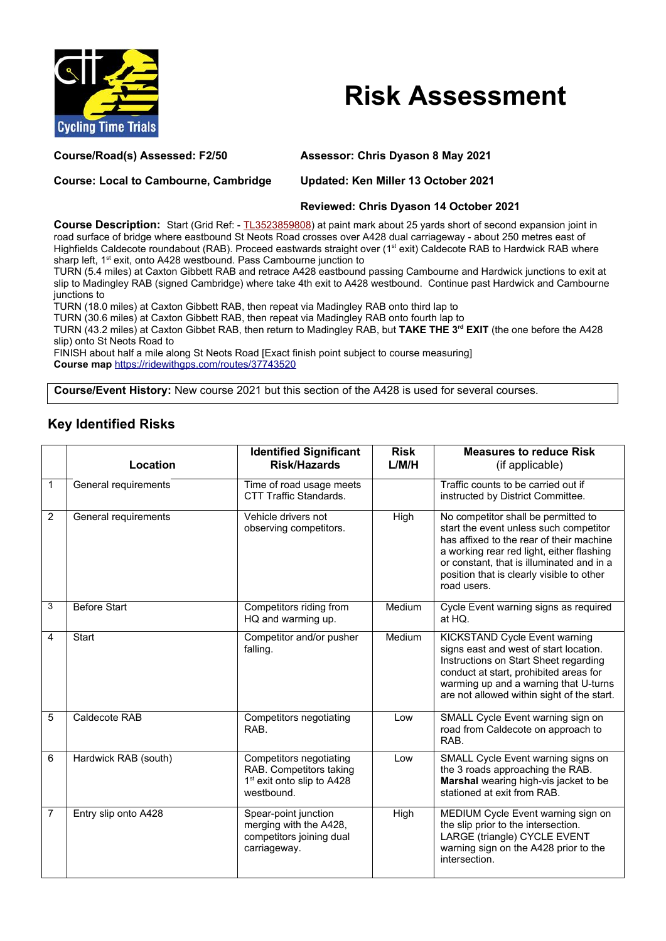

## **Risk Assessment**

**Course/Road(s) Assessed: F2/50 Assessor: Chris Dyason 8 May 2021**

**Course: Local to Cambourne, Cambridge Updated: Ken Miller 13 October 2021**

## **Reviewed: Chris Dyason 14 October 2021**

**Course Description:** Start (Grid Ref: - [TL3523859808\)](https://gridreferencefinder.com/) at paint mark about 25 yards short of second expansion joint in road surface of bridge where eastbound St Neots Road crosses over A428 dual carriageway - about 250 metres east of Highfields Caldecote roundabout (RAB). Proceed eastwards straight over (1<sup>st</sup> exit) Caldecote RAB to Hardwick RAB where sharp left, 1<sup>st</sup> exit, onto A428 westbound. Pass Cambourne junction to

TURN (5.4 miles) at Caxton Gibbett RAB and retrace A428 eastbound passing Cambourne and Hardwick junctions to exit at slip to Madingley RAB (signed Cambridge) where take 4th exit to A428 westbound. Continue past Hardwick and Cambourne junctions to

TURN (18.0 miles) at Caxton Gibbett RAB, then repeat via Madingley RAB onto third lap to

TURN (30.6 miles) at Caxton Gibbett RAB, then repeat via Madingley RAB onto fourth lap to

TURN (43.2 miles) at Caxton Gibbet RAB, then return to Madingley RAB, but **TAKE THE 3rd EXIT** (the one before the A428 slip) onto St Neots Road to

FINISH about half a mile along St Neots Road [Exact finish point subject to course measuring] **Course map** <https://ridewithgps.com/routes/37743520>

**Course/Event History:** New course 2021 but this section of the A428 is used for several courses.

## **Key Identified Risks**

|                | Location             | <b>Identified Significant</b><br><b>Risk/Hazards</b>                                                       | <b>Risk</b><br>L/M/H | <b>Measures to reduce Risk</b><br>(if applicable)                                                                                                                                                                                                                               |
|----------------|----------------------|------------------------------------------------------------------------------------------------------------|----------------------|---------------------------------------------------------------------------------------------------------------------------------------------------------------------------------------------------------------------------------------------------------------------------------|
| 1              | General requirements | Time of road usage meets<br><b>CTT Traffic Standards.</b>                                                  |                      | Traffic counts to be carried out if<br>instructed by District Committee.                                                                                                                                                                                                        |
| $\overline{2}$ | General requirements | Vehicle drivers not<br>observing competitors.                                                              | High                 | No competitor shall be permitted to<br>start the event unless such competitor<br>has affixed to the rear of their machine<br>a working rear red light, either flashing<br>or constant, that is illuminated and in a<br>position that is clearly visible to other<br>road users. |
| 3              | <b>Before Start</b>  | Competitors riding from<br>HQ and warming up.                                                              | Medium               | Cycle Event warning signs as required<br>at HQ.                                                                                                                                                                                                                                 |
| 4              | <b>Start</b>         | Competitor and/or pusher<br>falling.                                                                       | Medium               | KICKSTAND Cycle Event warning<br>signs east and west of start location.<br>Instructions on Start Sheet regarding<br>conduct at start, prohibited areas for<br>warming up and a warning that U-turns<br>are not allowed within sight of the start.                               |
| 5              | Caldecote RAB        | Competitors negotiating<br>RAB.                                                                            | Low                  | SMALL Cycle Event warning sign on<br>road from Caldecote on approach to<br>RAB.                                                                                                                                                                                                 |
| 6              | Hardwick RAB (south) | Competitors negotiating<br>RAB. Competitors taking<br>1 <sup>st</sup> exit onto slip to A428<br>westbound. | Low                  | SMALL Cycle Event warning signs on<br>the 3 roads approaching the RAB.<br>Marshal wearing high-vis jacket to be<br>stationed at exit from RAB.                                                                                                                                  |
| 7              | Entry slip onto A428 | Spear-point junction<br>merging with the A428,<br>competitors joining dual<br>carriageway.                 | High                 | MEDIUM Cycle Event warning sign on<br>the slip prior to the intersection.<br>LARGE (triangle) CYCLE EVENT<br>warning sign on the A428 prior to the<br>intersection.                                                                                                             |